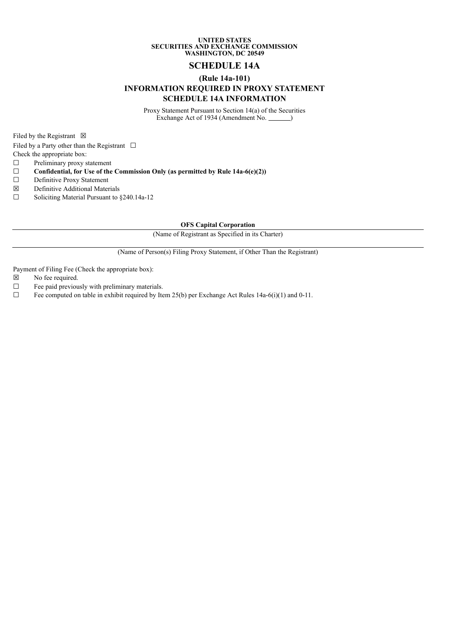## **UNITED STATES SECURITIES AND EXCHANGE COMMISSION WASHINGTON, DC 20549**

## **SCHEDULE 14A**

## **(Rule 14a-101) INFORMATION REQUIRED IN PROXY STATEMENT SCHEDULE 14A INFORMATION**

Proxy Statement Pursuant to Section 14(a) of the Securities Exchange Act of 1934 (Amendment No. 1886)

Filed by the Registrant  $\boxtimes$ 

Filed by a Party other than the Registrant  $\Box$ 

Check the appropriate box:

☐ Preliminary proxy statement

- ☐ **Confidential, for Use of the Commission Only (as permitted by Rule 14a-6(e)(2))**
- ☐ Definitive Proxy Statement
- ☒ Definitive Additional Materials
- ☐ Soliciting Material Pursuant to §240.14a-12

**OFS Capital Corporation**

(Name of Registrant as Specified in its Charter)

(Name of Person(s) Filing Proxy Statement, if Other Than the Registrant)

Payment of Filing Fee (Check the appropriate box):

- ☒ No fee required.
- $\Box$  Fee paid previously with preliminary materials.<br> $\Box$  Fee computed on table in exhibit required by Ite
- Fee computed on table in exhibit required by Item 25(b) per Exchange Act Rules 14a-6(i)(1) and 0-11.